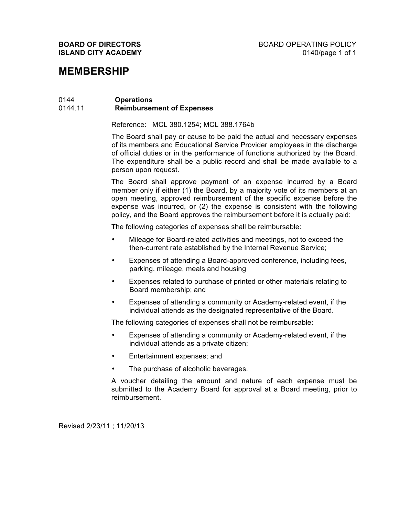## **MEMBERSHIP**

## 0144 **Operations** 0144.11 **Reimbursement of Expenses**

Reference: MCL 380.1254; MCL 388.1764b

The Board shall pay or cause to be paid the actual and necessary expenses of its members and Educational Service Provider employees in the discharge of official duties or in the performance of functions authorized by the Board. The expenditure shall be a public record and shall be made available to a person upon request.

The Board shall approve payment of an expense incurred by a Board member only if either (1) the Board, by a majority vote of its members at an open meeting, approved reimbursement of the specific expense before the expense was incurred, or (2) the expense is consistent with the following policy, and the Board approves the reimbursement before it is actually paid:

The following categories of expenses shall be reimbursable:

- Mileage for Board-related activities and meetings, not to exceed the then-current rate established by the Internal Revenue Service;
- Expenses of attending a Board-approved conference, including fees, parking, mileage, meals and housing
- Expenses related to purchase of printed or other materials relating to Board membership; and
- Expenses of attending a community or Academy-related event, if the individual attends as the designated representative of the Board.

The following categories of expenses shall not be reimbursable:

- Expenses of attending a community or Academy-related event, if the individual attends as a private citizen;
- Entertainment expenses; and
- The purchase of alcoholic beverages.

A voucher detailing the amount and nature of each expense must be submitted to the Academy Board for approval at a Board meeting, prior to reimbursement.

Revised 2/23/11 ; 11/20/13